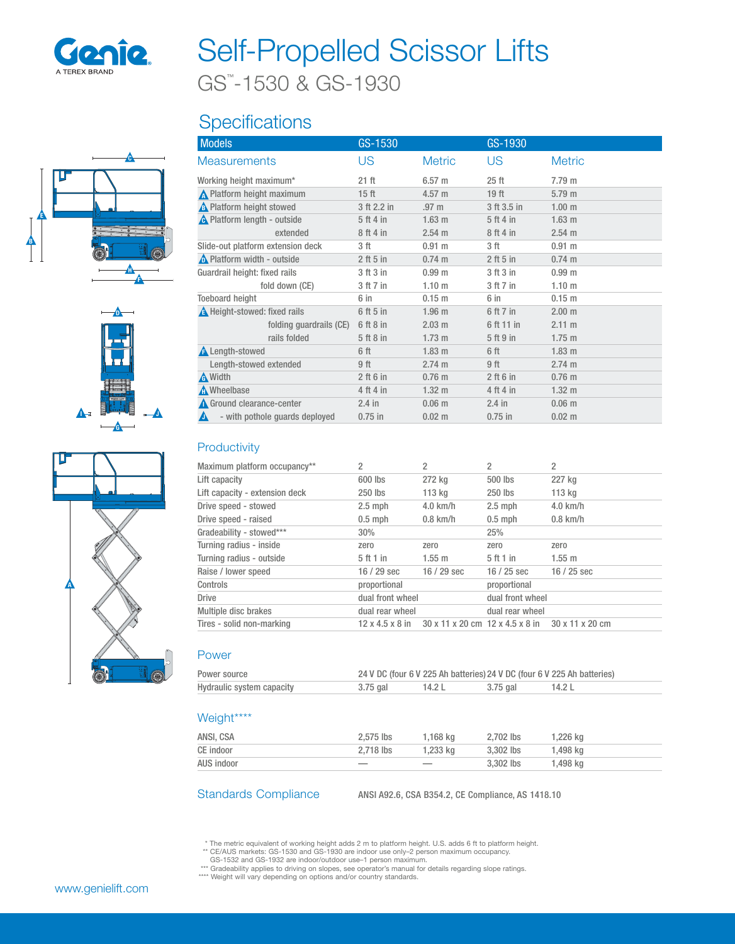

# Self-Propelled Scissor Lifts

GS™ -1530 & GS-1930

## **Specifications**







| <b>Models</b>                       | GS-1530          |                   | GS-1930          |                   |
|-------------------------------------|------------------|-------------------|------------------|-------------------|
| <b>Measurements</b>                 | US               | <b>Metric</b>     | US               | <b>Metric</b>     |
| Working height maximum*             | $21$ ft          | 6.57 <sub>m</sub> | 25 <sub>ft</sub> | 7.79 m            |
| N Platform height maximum           | 15 <sub>ft</sub> | 4.57 m            | 19 <sub>ft</sub> | 5.79 <sub>m</sub> |
| <b>A</b> Platform height stowed     | 3 ft 2.2 in      | .97 <sub>m</sub>  | 3 ft 3.5 in      | 1.00 <sub>m</sub> |
| <b>A</b> Platform length - outside  | 5 ft 4 in        | $1.63$ m          | 5 ft 4 in        | 1.63 <sub>m</sub> |
| extended                            | 8 ft 4 in        | 2.54 m            | 8 ft 4 in        | 2.54 m            |
| Slide-out platform extension deck   | 3 ft             | 0.91 m            | 3 ft             | 0.91 m            |
| <b>A</b> Platform width - outside   | $2$ ft 5 in      | $0.74 \text{ m}$  | $2$ ft 5 in      | $0.74 \text{ m}$  |
| Guardrail height: fixed rails       | 3 ft 3 in        | 0.99 <sub>m</sub> | 3 ft 3 in        | 0.99 <sub>m</sub> |
| fold down (CE)                      | 3 ft 7 in        | 1.10 <sub>m</sub> | 3 ft 7 in        | 1.10 <sub>m</sub> |
| <b>Toeboard height</b>              | 6 in             | 0.15 <sub>m</sub> | 6 in             | 0.15 <sub>m</sub> |
| <b>A</b> Height-stowed: fixed rails | 6 ft 5 in        | 1.96 <sub>m</sub> | 6 ft 7 in        | 2.00 m            |
| folding guardrails (CE)             | 6 ft 8 in        | 2.03 m            | 6 ft 11 in       | 2.11 m            |
| rails folded                        | 5ft8in           | $1.73 \text{ m}$  | 5 ft 9 in        | $1.75$ m          |
| <b>A</b> Length-stowed              | 6 ft             | 1.83 <sub>m</sub> | 6 ft             | 1.83 <sub>m</sub> |
| Length-stowed extended              | 9 ft             | 2.74 m            | 9 ft             | 2.74 m            |
| A Width                             | $2$ ft 6 in      | $0.76$ m          | $2$ ft 6 in      | $0.76$ m          |
| <b>A</b> Wheelbase                  | 4 ft 4 in        | $1.32 \text{ m}$  | 4 ft 4 in        | $1.32 \text{ m}$  |
| Ground clearance-center             | $2.4$ in         | 0.06 <sub>m</sub> | $2.4$ in         | 0.06 <sub>m</sub> |
| - with pothole quards deployed<br>A | $0.75$ in        | 0.02 m            | $0.75$ in        | $0.02 \; m$       |
|                                     |                  |                   |                  |                   |

## **Productivity**

| Maximum platform occupancy**   | 2                           | 2           | 2                                               | 2           |
|--------------------------------|-----------------------------|-------------|-------------------------------------------------|-------------|
| Lift capacity                  | 600 lbs                     | 272 kg      | 500 lbs                                         | 227 kg      |
| Lift capacity - extension deck | 250 lbs                     | 113 kg      | 250 lbs                                         | 113 kg      |
| Drive speed - stowed           | $2.5$ mph                   | $4.0$ km/h  | $2.5$ mph                                       | $4.0$ km/h  |
| Drive speed - raised           | $0.5$ mph                   | $0.8$ km/h  | $0.5$ mph                                       | $0.8$ km/h  |
| Gradeability - stowed***       | $30\%$                      |             | 25%                                             |             |
| Turning radius - inside        | zero                        | zero        | zero                                            | zero        |
| Turning radius - outside       | 5 ft 1 in                   | $1.55$ m    | 5 ft 1 in                                       | 1.55 m      |
| Raise / lower speed            | $16/29$ sec                 | $16/29$ sec | $16/25$ sec                                     | $16/25$ sec |
| Controls                       | proportional                |             | proportional                                    |             |
| <b>Drive</b>                   | dual front wheel            |             | dual front wheel                                |             |
| Multiple disc brakes           | dual rear wheel             |             | dual rear wheel                                 |             |
| Tires - solid non-marking      | $12 \times 4.5 \times 8$ in |             | 30 x 11 x 20 cm 12 x 4.5 x 8 in 30 x 11 x 20 cm |             |

### Power

| Power source              | 24 V DC (four 6 V 225 Ah batteries) 24 V DC (four 6 V 225 Ah batteries) |        |          |        |
|---------------------------|-------------------------------------------------------------------------|--------|----------|--------|
| Hydraulic system capacity | 3.75 gal                                                                | 14.2 L | 3.75 gal | 14.2 L |

## Weight\*\*\*\*

| ANSI, CSA  | 2.575 lbs                | 1.168 ka | 2.702 lbs | 1,226 kg |
|------------|--------------------------|----------|-----------|----------|
| CE indoor  | 2.718 lbs                | 1.233 ka | 3.302 lbs | 1.498 ka |
| AUS indoor | $\overline{\phantom{a}}$ |          | 3.302 lbs | 1,498 kg |

Standards Compliance ANSI A92.6, CSA B354.2, CE Compliance, AS 1418.10

\* The metric equivalent of working height adds 2 m to platform height. U.S. adds 6 ft to platform height.<br>\*\* CE/AUS markets: GS-1530 and GS-1930 are indoor use only–2 person maximum occupancy.<br>GS-1532 and GS-1932 are indoo